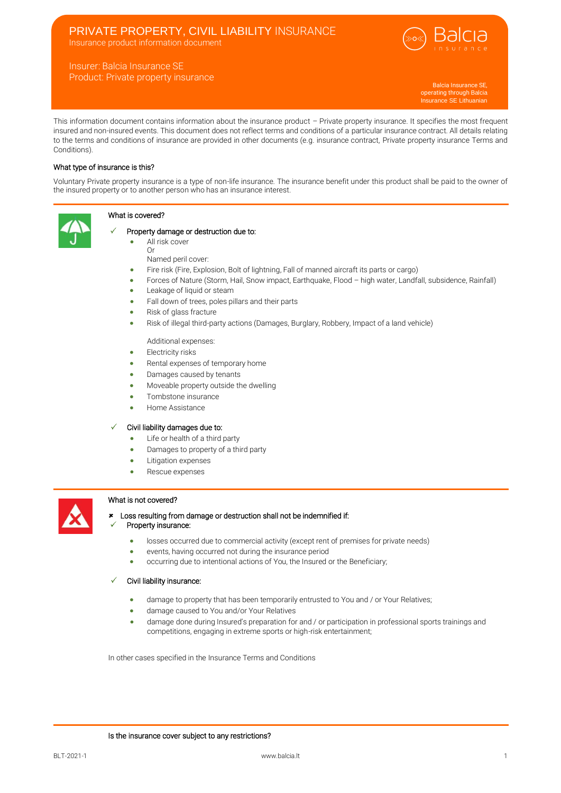# PRIVATE PROPERTY, CIVIL LIABILITY INSURANCE

Insurance product information document

Insurer: Balcia Insurance SE Product: Private property insurance



Balcia Insurance SE, operating through Balcia Insurance SE Lithuanian

Branch

This information document contains information about the insurance product – Private property insurance. It specifies the most frequent insured and non-insured events. This document does not reflect terms and conditions of a particular insurance contract. All details relating to the terms and conditions of insurance are provided in other documents (e.g. insurance contract, Private property insurance Terms and Conditions).

### What type of insurance is this?

Voluntary Private property insurance is a type of non-life insurance. The insurance benefit under this product shall be paid to the owner of the insured property or to another person who has an insurance interest.



# What is covered?

## Property damage or destruction due to:

- All risk cover
	- Or Named peril cover:
- Fire risk (Fire, Explosion, Bolt of lightning, Fall of manned aircraft its parts or cargo)
- Forces of Nature (Storm, Hail, Snow impact, Earthquake, Flood high water, Landfall, subsidence, Rainfall)
- Leakage of liquid or steam
- Fall down of trees, poles pillars and their parts
- Risk of glass fracture
- Risk of illegal third-party actions (Damages, Burglary, Robbery, Impact of a land vehicle)

## Additional expenses:

- Electricity risks
- Rental expenses of temporary home
- Damages caused by tenants
- Moveable property outside the dwelling
- Tombstone insurance
- Home Assistance

## Civil liability damages due to:

- Life or health of a third party
- Damages to property of a third party
- Litigation expenses
- Rescue expenses

## What is not covered?



#### Loss resulting from damage or destruction shall not be indemnified if: Property insurance:

- losses occurred due to commercial activity (except rent of premises for private needs)
- events, having occurred not during the insurance period
- occurring due to intentional actions of You, the Insured or the Beneficiary;

## Civil liability insurance:

- damage to property that has been temporarily entrusted to You and / or Your Relatives;
- damage caused to You and/or Your Relatives
- damage done during Insured's preparation for and / or participation in professional sports trainings and competitions, engaging in extreme sports or high-risk entertainment;

In other cases specified in the Insurance Terms and Conditions